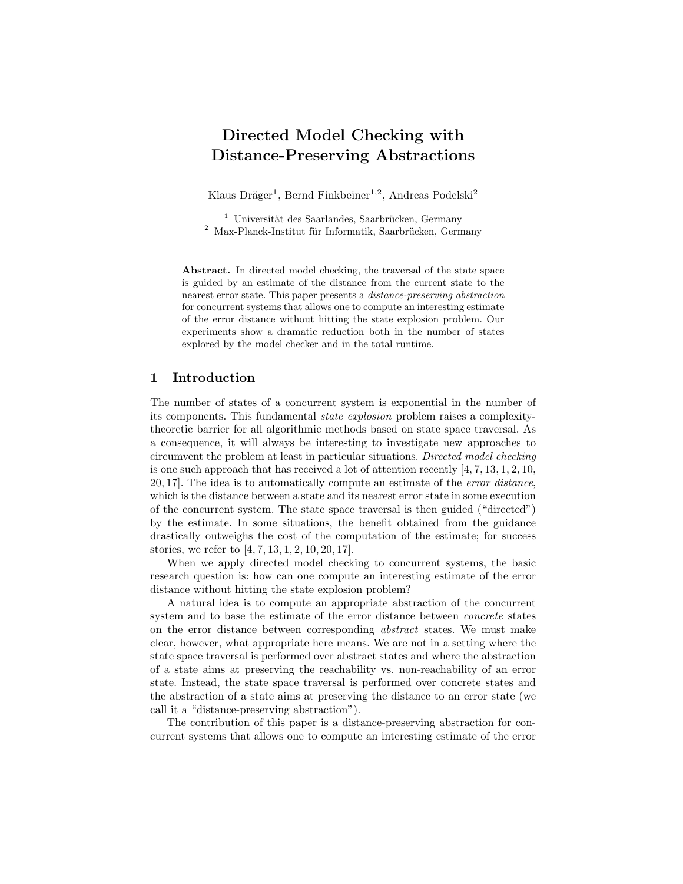# Directed Model Checking with Distance-Preserving Abstractions

Klaus Dräger<sup>1</sup>, Bernd Finkbeiner<sup>1,2</sup>, Andreas Podelski<sup>2</sup>

 $1$  Universität des Saarlandes, Saarbrücken, Germany  $2$  Max-Planck-Institut für Informatik, Saarbrücken, Germany

Abstract. In directed model checking, the traversal of the state space is guided by an estimate of the distance from the current state to the nearest error state. This paper presents a distance-preserving abstraction for concurrent systems that allows one to compute an interesting estimate of the error distance without hitting the state explosion problem. Our experiments show a dramatic reduction both in the number of states explored by the model checker and in the total runtime.

#### 1 Introduction

The number of states of a concurrent system is exponential in the number of its components. This fundamental state explosion problem raises a complexitytheoretic barrier for all algorithmic methods based on state space traversal. As a consequence, it will always be interesting to investigate new approaches to circumvent the problem at least in particular situations. Directed model checking is one such approach that has received a lot of attention recently  $[4, 7, 13, 1, 2, 10,$ 20, 17]. The idea is to automatically compute an estimate of the error distance, which is the distance between a state and its nearest error state in some execution of the concurrent system. The state space traversal is then guided ("directed") by the estimate. In some situations, the benefit obtained from the guidance drastically outweighs the cost of the computation of the estimate; for success stories, we refer to [4, 7, 13, 1, 2, 10, 20, 17].

When we apply directed model checking to concurrent systems, the basic research question is: how can one compute an interesting estimate of the error distance without hitting the state explosion problem?

A natural idea is to compute an appropriate abstraction of the concurrent system and to base the estimate of the error distance between concrete states on the error distance between corresponding abstract states. We must make clear, however, what appropriate here means. We are not in a setting where the state space traversal is performed over abstract states and where the abstraction of a state aims at preserving the reachability vs. non-reachability of an error state. Instead, the state space traversal is performed over concrete states and the abstraction of a state aims at preserving the distance to an error state (we call it a "distance-preserving abstraction").

The contribution of this paper is a distance-preserving abstraction for concurrent systems that allows one to compute an interesting estimate of the error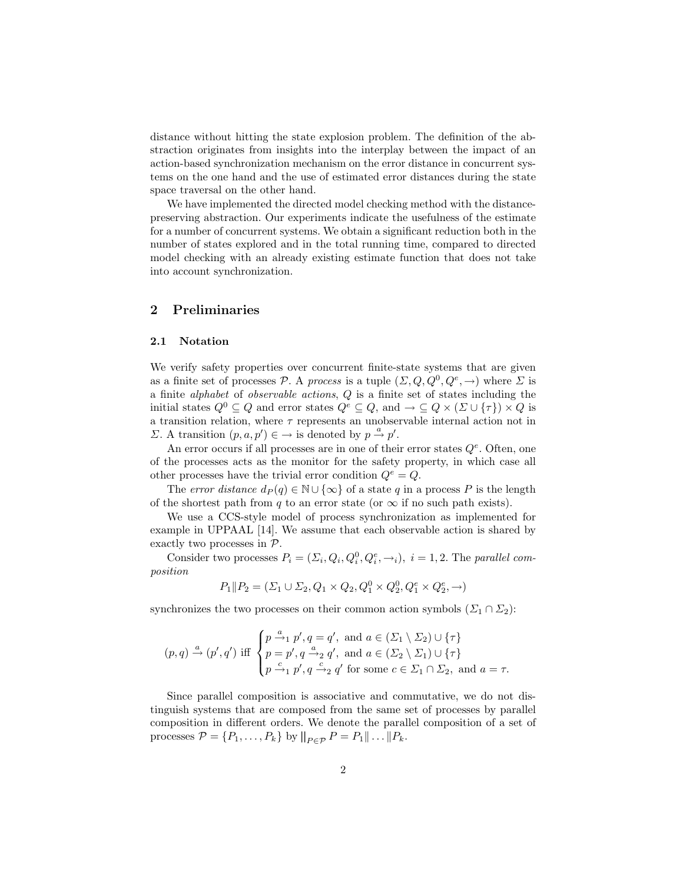distance without hitting the state explosion problem. The definition of the abstraction originates from insights into the interplay between the impact of an action-based synchronization mechanism on the error distance in concurrent systems on the one hand and the use of estimated error distances during the state space traversal on the other hand.

We have implemented the directed model checking method with the distancepreserving abstraction. Our experiments indicate the usefulness of the estimate for a number of concurrent systems. We obtain a significant reduction both in the number of states explored and in the total running time, compared to directed model checking with an already existing estimate function that does not take into account synchronization.

# 2 Preliminaries

#### 2.1 Notation

We verify safety properties over concurrent finite-state systems that are given as a finite set of processes P. A process is a tuple  $(\Sigma, Q, Q^0, Q^e, \rightarrow)$  where  $\Sigma$  is a finite alphabet of observable actions, Q is a finite set of states including the initial states  $Q^0 \subseteq Q$  and error states  $Q^e \subseteq Q$ , and  $\rightarrow \subseteq Q \times (\Sigma \cup {\tau}) \times Q$  is a transition relation, where  $\tau$  represents an unobservable internal action not in  $Σ. A transition (p, a, p') ∈ → is denoted by p \stackrel{a}{\rightarrow} p'.$ 

An error occurs if all processes are in one of their error states  $Q^e$ . Often, one of the processes acts as the monitor for the safety property, in which case all other processes have the trivial error condition  $Q^e = Q$ .

The error distance  $d_P(q) \in \mathbb{N} \cup \{\infty\}$  of a state q in a process P is the length of the shortest path from q to an error state (or  $\infty$  if no such path exists).

We use a CCS-style model of process synchronization as implemented for example in UPPAAL [14]. We assume that each observable action is shared by exactly two processes in  $P$ .

Consider two processes  $P_i = (\Sigma_i, Q_i, Q_i^0, Q_i^e, \rightarrow_i), i = 1, 2$ . The parallel composition

$$
P_1 \| P_2 = (\Sigma_1 \cup \Sigma_2, Q_1 \times Q_2, Q_1^0 \times Q_2^0, Q_1^e \times Q_2^e, \to)
$$

synchronizes the two processes on their common action symbols  $(\Sigma_1 \cap \Sigma_2)$ :

$$
(p,q) \xrightarrow{a} (p',q') \text{ iff } \begin{cases} p \xrightarrow{a} p', q = q', \text{ and } a \in (\Sigma_1 \setminus \Sigma_2) \cup \{\tau\} \\ p = p', q \xrightarrow{a} q', \text{ and } a \in (\Sigma_2 \setminus \Sigma_1) \cup \{\tau\} \\ p \xrightarrow{c} p', q \xrightarrow{c} q' \text{ for some } c \in \Sigma_1 \cap \Sigma_2, \text{ and } a = \tau. \end{cases}
$$

Since parallel composition is associative and commutative, we do not distinguish systems that are composed from the same set of processes by parallel composition in different orders. We denote the parallel composition of a set of processes  $\mathcal{P} = \{P_1, \ldots, P_k\}$  by  $||_{P \in \mathcal{P}} P = P_1 || \ldots || P_k$ .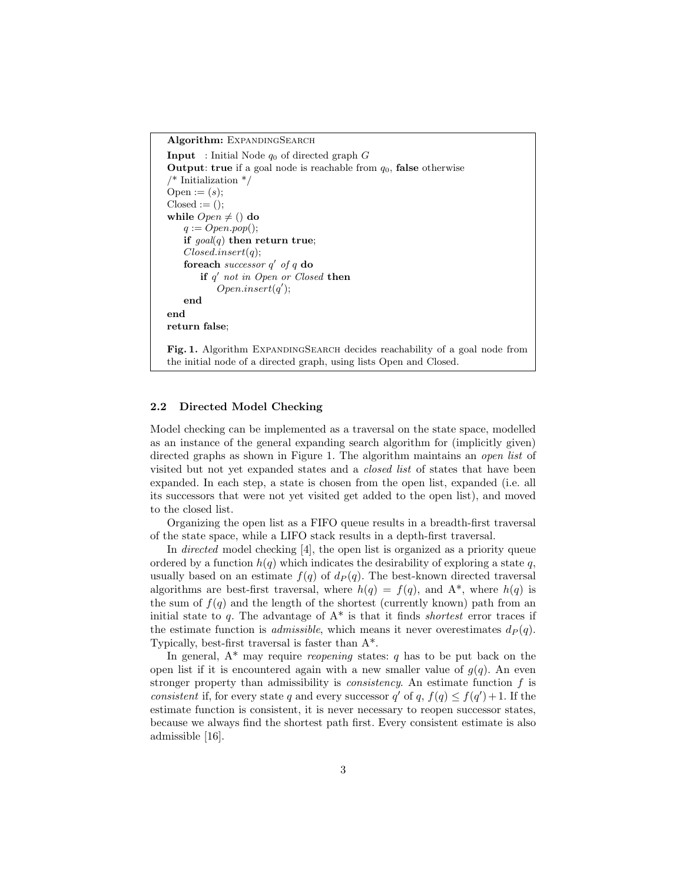```
Algorithm: EXPANDINGSEARCH
```

```
Input : Initial Node q_0 of directed graph G
Output: true if a goal node is reachable from q_0, false otherwise
/* Initialization */Open := (s);
Closed := ();
while Open \neq () do
   q := Open.pop();if goal(q) then return true;
   Closed.insert(q);foreach successor q' of q do
       if q' not in Open or Closed then
           Open.insert(q');end
end
return false;
```
Fig. 1. Algorithm EXPANDINGSEARCH decides reachability of a goal node from the initial node of a directed graph, using lists Open and Closed.

#### 2.2 Directed Model Checking

Model checking can be implemented as a traversal on the state space, modelled as an instance of the general expanding search algorithm for (implicitly given) directed graphs as shown in Figure 1. The algorithm maintains an *open list* of visited but not yet expanded states and a closed list of states that have been expanded. In each step, a state is chosen from the open list, expanded (i.e. all its successors that were not yet visited get added to the open list), and moved to the closed list.

Organizing the open list as a FIFO queue results in a breadth-first traversal of the state space, while a LIFO stack results in a depth-first traversal.

In directed model checking [4], the open list is organized as a priority queue ordered by a function  $h(q)$  which indicates the desirability of exploring a state q, usually based on an estimate  $f(q)$  of  $d_P(q)$ . The best-known directed traversal algorithms are best-first traversal, where  $h(q) = f(q)$ , and  $A^*$ , where  $h(q)$  is the sum of  $f(q)$  and the length of the shortest (currently known) path from an initial state to q. The advantage of  $A^*$  is that it finds *shortest* error traces if the estimate function is *admissible*, which means it never overestimates  $d_P(q)$ . Typically, best-first traversal is faster than A\*.

In general,  $A^*$  may require *reopening* states: q has to be put back on the open list if it is encountered again with a new smaller value of  $g(q)$ . An even stronger property than admissibility is consistency. An estimate function f is consistent if, for every state q and every successor q' of q,  $f(q) \leq f(q') + 1$ . If the estimate function is consistent, it is never necessary to reopen successor states, because we always find the shortest path first. Every consistent estimate is also admissible [16].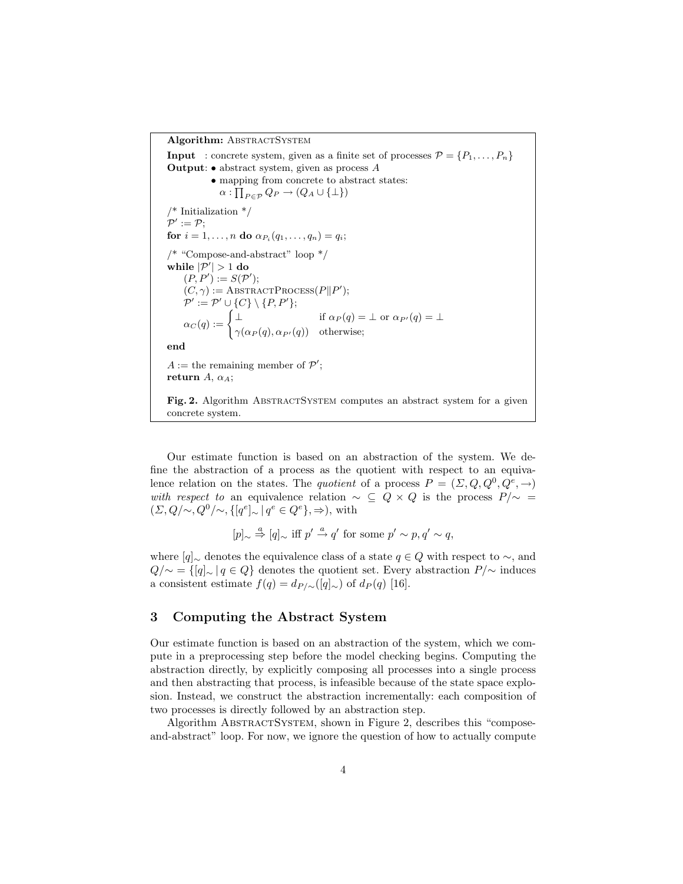Algorithm: ABSTRACTSYSTEM

**Input** : concrete system, given as a finite set of processes  $P = \{P_1, \ldots, P_n\}$ Output: • abstract system, given as process A • mapping from concrete to abstract states:  $\alpha: \prod_{P \in \mathcal{P}} Q_P \to (Q_A \cup \{\perp\})$ /\* Initialization \*/  $\mathcal{P}^\prime:=\mathcal{P};$ for  $i=1,\ldots,n$  do  $\alpha_{P_i}(q_1,\ldots,q_n)=q_i;$ /\* "Compose-and-abstract" loop \*/ while  $|\mathcal{P}'| > 1$  do  $(P, P') := S(P');$  $(C, \gamma) := \text{ABSTRACTProcess}(P||P');$  $\mathcal{P}' := \mathcal{P}' \cup \{C\} \setminus \{P, P'\};$  $\alpha_C(q) := \begin{cases} \bot & \text{if } \alpha_P(q) = \bot \text{ or } \alpha_{P'}(q) = \bot \end{cases}$  $\gamma(\alpha_P(q), \alpha_{P'}(q))$  otherwise; end  $A :=$  the remaining member of  $\mathcal{P}'$ ; return A,  $\alpha_A$ ; Fig. 2. Algorithm ABSTRACTSYSTEM computes an abstract system for a given

concrete system.

Our estimate function is based on an abstraction of the system. We define the abstraction of a process as the quotient with respect to an equivalence relation on the states. The quotient of a process  $P = (\Sigma, Q, Q^0, Q^e, \rightarrow)$ with respect to an equivalence relation  $\sim \subseteq Q \times Q$  is the process  $P/\sim =$  $(\Sigma, Q/\sim, Q^0/\sim, \{[q^e]_\sim | q^e \in Q^e\}, \Rightarrow)$ , with

 $[p]_{\sim} \stackrel{a}{\Rightarrow} [q]_{\sim}$  iff  $p' \stackrel{a}{\rightarrow} q'$  for some  $p' \sim p, q' \sim q$ ,

where  $[q]_{\sim}$  denotes the equivalence class of a state  $q \in Q$  with respect to  $\sim$ , and  $Q/\sim$  = {[q]∼ | q ∈ Q} denotes the quotient set. Every abstraction  $P/\sim$  induces a consistent estimate  $f(q) = d_{P/\sim}([q]_{\sim})$  of  $d_P(q)$  [16].

# 3 Computing the Abstract System

Our estimate function is based on an abstraction of the system, which we compute in a preprocessing step before the model checking begins. Computing the abstraction directly, by explicitly composing all processes into a single process and then abstracting that process, is infeasible because of the state space explosion. Instead, we construct the abstraction incrementally: each composition of two processes is directly followed by an abstraction step.

Algorithm ABSTRACTSYSTEM, shown in Figure 2, describes this "composeand-abstract" loop. For now, we ignore the question of how to actually compute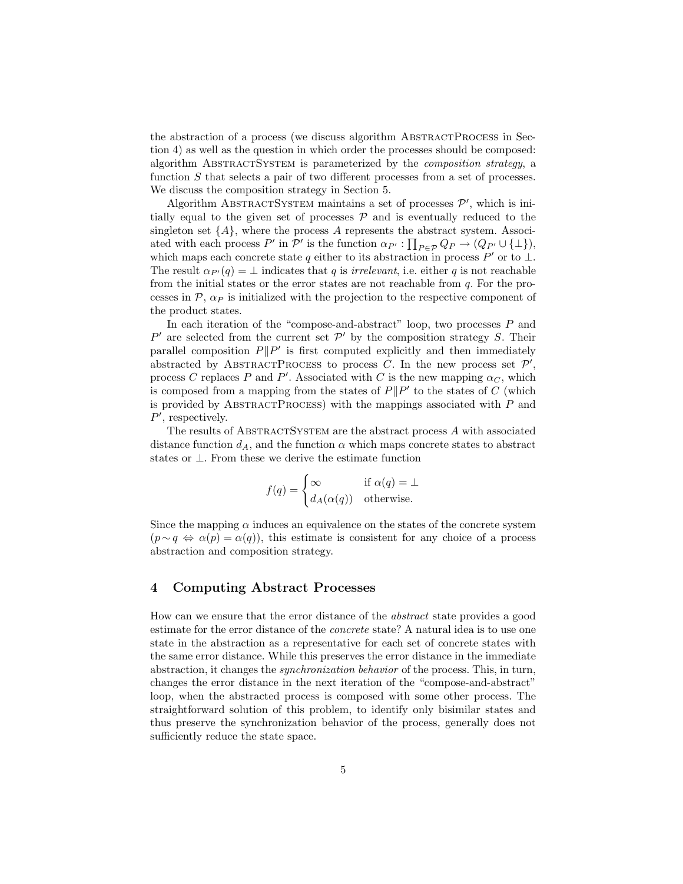the abstraction of a process (we discuss algorithm AbstractProcess in Section 4) as well as the question in which order the processes should be composed: algorithm ABSTRACTSYSTEM is parameterized by the *composition strategy*, a function S that selects a pair of two different processes from a set of processes. We discuss the composition strategy in Section 5.

Algorithm ABSTRACTSYSTEM maintains a set of processes  $\mathcal{P}'$ , which is initially equal to the given set of processes  $P$  and is eventually reduced to the singleton set  $\{A\}$ , where the process A represents the abstract system. Associated with each process P' in  $\mathcal{P}'$  is the function  $\alpha_{P'} : \prod_{P \in \mathcal{P}} Q_P \to (Q_{P'} \cup \{\perp\}),$ which maps each concrete state q either to its abstraction in process  $P'$  or to  $\perp$ . The result  $\alpha_{P'}(q) = \perp$  indicates that q is *irrelevant*, i.e. either q is not reachable from the initial states or the error states are not reachable from  $q$ . For the processes in  $\mathcal{P}, \alpha_{P}$  is initialized with the projection to the respective component of the product states.

In each iteration of the "compose-and-abstract" loop, two processes  $P$  and  $P'$  are selected from the current set  $P'$  by the composition strategy S. Their parallel composition  $P||P'$  is first computed explicitly and then immediately abstracted by ABSTRACTPROCESS to process C. In the new process set  $\mathcal{P}'$ , process C replaces P and P'. Associated with C is the new mapping  $\alpha_C$ , which is composed from a mapping from the states of  $P||P'$  to the states of C (which is provided by ABSTRACTPROCESS) with the mappings associated with  $P$  and  $P'$ , respectively.

The results of ABSTRACTSYSTEM are the abstract process  $A$  with associated distance function  $d_A$ , and the function  $\alpha$  which maps concrete states to abstract states or  $\bot$ . From these we derive the estimate function

$$
f(q) = \begin{cases} \infty & \text{if } \alpha(q) = \bot \\ d_A(\alpha(q)) & \text{otherwise.} \end{cases}
$$

Since the mapping  $\alpha$  induces an equivalence on the states of the concrete system  $(p \sim q \Leftrightarrow \alpha(p) = \alpha(q)$ , this estimate is consistent for any choice of a process abstraction and composition strategy.

# 4 Computing Abstract Processes

How can we ensure that the error distance of the abstract state provides a good estimate for the error distance of the concrete state? A natural idea is to use one state in the abstraction as a representative for each set of concrete states with the same error distance. While this preserves the error distance in the immediate abstraction, it changes the synchronization behavior of the process. This, in turn, changes the error distance in the next iteration of the "compose-and-abstract" loop, when the abstracted process is composed with some other process. The straightforward solution of this problem, to identify only bisimilar states and thus preserve the synchronization behavior of the process, generally does not sufficiently reduce the state space.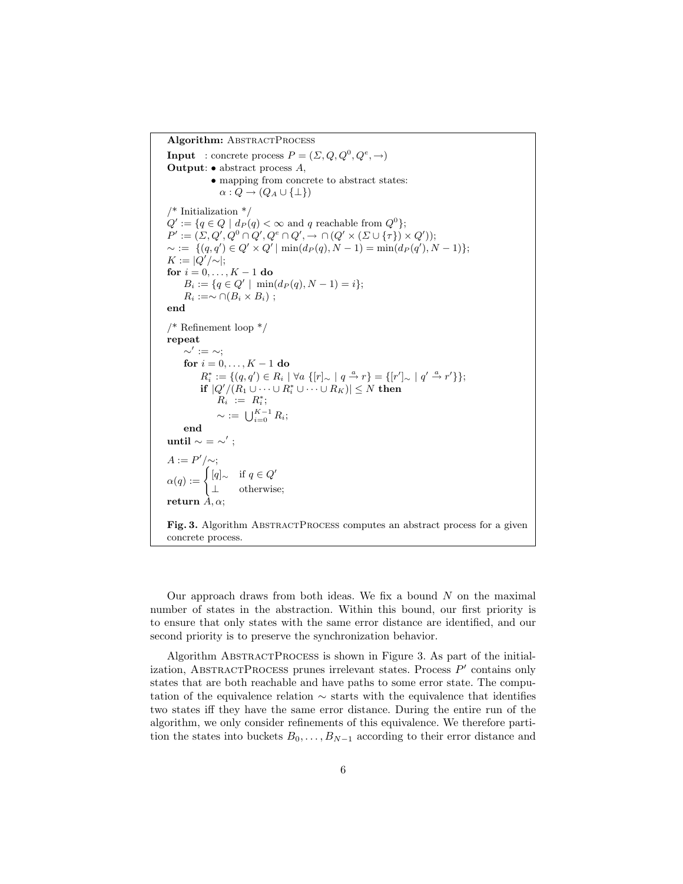Algorithm: ABSTRACTPROCESS **Input** : concrete process  $P = (\Sigma, Q, Q^0, Q^e, \rightarrow)$ **Output:** • abstract process  $A$ , • mapping from concrete to abstract states:  $\alpha: Q \to (Q_A \cup \{\perp\})$ /\* Initialization \*/  $Q' := \{q \in Q \mid d_P(q) < \infty \text{ and } q \text{ reachable from } Q^0 \};$  $P' := (\Sigma, Q', Q^0 \cap Q', Q^e \cap Q', \rightarrow \cap (Q' \times (\Sigma \cup {\tau}) \times Q')),$  $\sim := \{ (q, q') \in Q' \times Q' \mid \min(d_P(q), N - 1) = \min(d_P(q'), N - 1) \};$  $K := |Q'/\sim|;$ for  $i = 0, \ldots, K - 1$  do  $B_i := \{q \in Q' \mid \min(d_P(q), N - 1) = i\};$  $R_i := \sim \cap (B_i \times B_i)$ ; end /\* Refinement loop \*/ repeat  $\sim' := \ \sim;$ for  $i = 0, ..., K - 1$  do  $R_i^* := \{ (q, q') \in R_i \mid \forall a \{ [r]_\sim \mid q \stackrel{a}{\to} r \} = \{ [r']_\sim \mid q' \stackrel{a}{\to} r' \} \};$ if  $|Q'/\left(R_1\cup\cdots\cup R_i^*\cup\cdots\cup R_K\right)|\leq N$  then  $R_i := R_i^*;$  $\sim := \bigcup_{i=0}^{K-1} R_i;$ end until  $\sim$  =  $\sim'$  ;  $A := P'/\sim;$  $\alpha(q) := \begin{cases} [q]_{\sim} & \text{if } q \in Q' \end{cases}$ ⊥ otherwise; return  $\dot{A}$ ,  $\alpha$ ; Fig. 3. Algorithm ABSTRACTPROCESS computes an abstract process for a given concrete process.

Our approach draws from both ideas. We fix a bound  $N$  on the maximal number of states in the abstraction. Within this bound, our first priority is to ensure that only states with the same error distance are identified, and our second priority is to preserve the synchronization behavior.

Algorithm ABSTRACTPROCESS is shown in Figure 3. As part of the initialization, ABSTRACTPROCESS prunes irrelevant states. Process  $P'$  contains only states that are both reachable and have paths to some error state. The computation of the equivalence relation ∼ starts with the equivalence that identifies two states iff they have the same error distance. During the entire run of the algorithm, we only consider refinements of this equivalence. We therefore partition the states into buckets  $B_0, \ldots, B_{N-1}$  according to their error distance and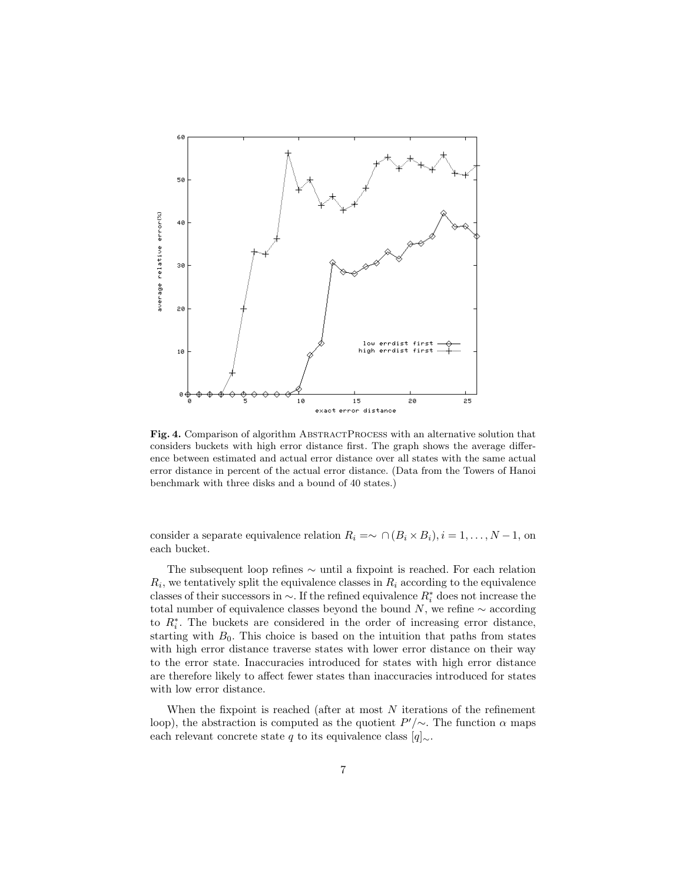

Fig. 4. Comparison of algorithm ABSTRACTPROCESS with an alternative solution that considers buckets with high error distance first. The graph shows the average difference between estimated and actual error distance over all states with the same actual error distance in percent of the actual error distance. (Data from the Towers of Hanoi benchmark with three disks and a bound of 40 states.)

consider a separate equivalence relation  $R_i = \neg (B_i \times B_i), i = 1, \dots, N-1$ , on each bucket.

The subsequent loop refines ∼ until a fixpoint is reached. For each relation  $R_i$ , we tentatively split the equivalence classes in  $R_i$  according to the equivalence classes of their successors in  $\sim$ . If the refined equivalence  $R_i^*$  does not increase the total number of equivalence classes beyond the bound N, we refine  $\sim$  according to  $R_i^*$ . The buckets are considered in the order of increasing error distance, starting with  $B_0$ . This choice is based on the intuition that paths from states with high error distance traverse states with lower error distance on their way to the error state. Inaccuracies introduced for states with high error distance are therefore likely to affect fewer states than inaccuracies introduced for states with low error distance.

When the fixpoint is reached (after at most  $N$  iterations of the refinement loop), the abstraction is computed as the quotient  $P' / \sim$ . The function  $\alpha$  maps each relevant concrete state q to its equivalence class  $[q]_{\sim}$ .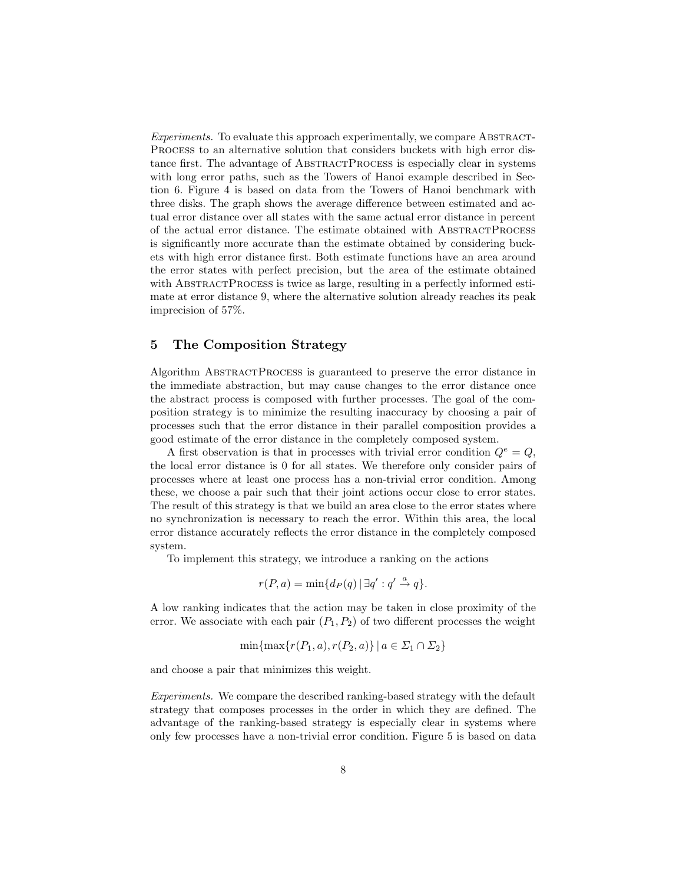Experiments. To evaluate this approach experimentally, we compare ABSTRACT-Process to an alternative solution that considers buckets with high error distance first. The advantage of AbstractProcess is especially clear in systems with long error paths, such as the Towers of Hanoi example described in Section 6. Figure 4 is based on data from the Towers of Hanoi benchmark with three disks. The graph shows the average difference between estimated and actual error distance over all states with the same actual error distance in percent of the actual error distance. The estimate obtained with AbstractProcess is significantly more accurate than the estimate obtained by considering buckets with high error distance first. Both estimate functions have an area around the error states with perfect precision, but the area of the estimate obtained with ABSTRACTPROCESS is twice as large, resulting in a perfectly informed estimate at error distance 9, where the alternative solution already reaches its peak imprecision of 57%.

#### 5 The Composition Strategy

Algorithm AbstractProcess is guaranteed to preserve the error distance in the immediate abstraction, but may cause changes to the error distance once the abstract process is composed with further processes. The goal of the composition strategy is to minimize the resulting inaccuracy by choosing a pair of processes such that the error distance in their parallel composition provides a good estimate of the error distance in the completely composed system.

A first observation is that in processes with trivial error condition  $Q^e = Q$ , the local error distance is 0 for all states. We therefore only consider pairs of processes where at least one process has a non-trivial error condition. Among these, we choose a pair such that their joint actions occur close to error states. The result of this strategy is that we build an area close to the error states where no synchronization is necessary to reach the error. Within this area, the local error distance accurately reflects the error distance in the completely composed system.

To implement this strategy, we introduce a ranking on the actions

$$
r(P,a) = \min\{d_P(q) | \exists q' : q' \stackrel{a}{\rightarrow} q\}.
$$

A low ranking indicates that the action may be taken in close proximity of the error. We associate with each pair  $(P_1, P_2)$  of two different processes the weight

$$
\min\{\max\{r(P_1, a), r(P_2, a)\}\,|\, a \in \Sigma_1 \cap \Sigma_2\}
$$

and choose a pair that minimizes this weight.

Experiments. We compare the described ranking-based strategy with the default strategy that composes processes in the order in which they are defined. The advantage of the ranking-based strategy is especially clear in systems where only few processes have a non-trivial error condition. Figure 5 is based on data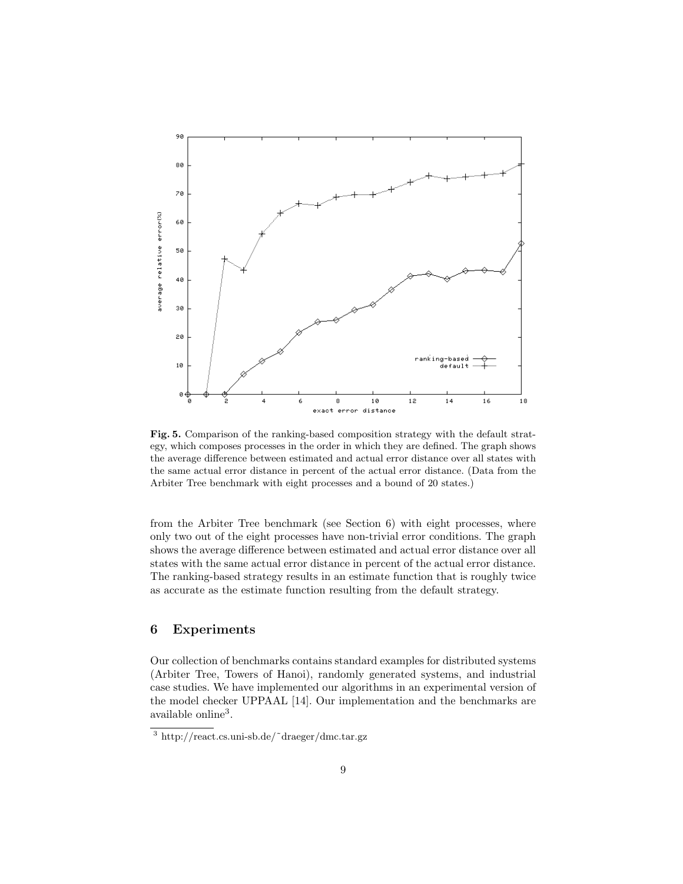

Fig. 5. Comparison of the ranking-based composition strategy with the default strategy, which composes processes in the order in which they are defined. The graph shows the average difference between estimated and actual error distance over all states with the same actual error distance in percent of the actual error distance. (Data from the Arbiter Tree benchmark with eight processes and a bound of 20 states.)

from the Arbiter Tree benchmark (see Section 6) with eight processes, where only two out of the eight processes have non-trivial error conditions. The graph shows the average difference between estimated and actual error distance over all states with the same actual error distance in percent of the actual error distance. The ranking-based strategy results in an estimate function that is roughly twice as accurate as the estimate function resulting from the default strategy.

#### 6 Experiments

Our collection of benchmarks contains standard examples for distributed systems (Arbiter Tree, Towers of Hanoi), randomly generated systems, and industrial case studies. We have implemented our algorithms in an experimental version of the model checker UPPAAL [14]. Our implementation and the benchmarks are available online<sup>3</sup>.

<sup>3</sup> http://react.cs.uni-sb.de/˜draeger/dmc.tar.gz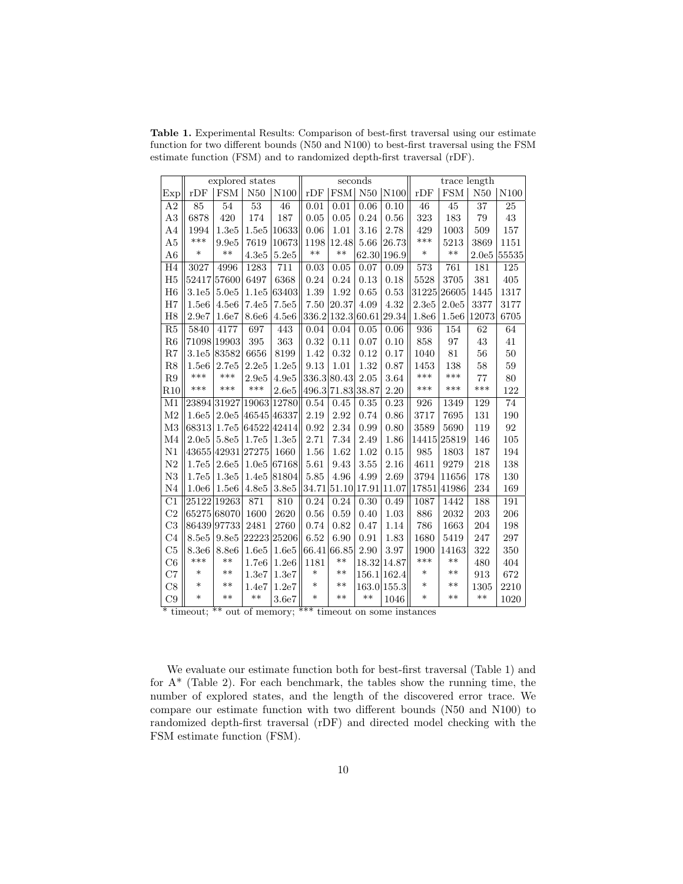Table 1. Experimental Results: Comparison of best-first traversal using our estimate function for two different bounds (N50 and N100) to best-first traversal using the FSM estimate function (FSM) and to randomized depth-first traversal (rDF).

|                | explored states   |                   |                    |                   | seconds |                   |                 |              | trace length      |                   |                 |                  |
|----------------|-------------------|-------------------|--------------------|-------------------|---------|-------------------|-----------------|--------------|-------------------|-------------------|-----------------|------------------|
| Exp            | rDF               | <b>FSM</b>        | N <sub>50</sub>    | N <sub>100</sub>  | rDF     | <b>FSM</b>        | N <sub>50</sub> | $\vert$ N100 | rDF               | $_{\mathrm{FSM}}$ | N <sub>50</sub> | N <sub>100</sub> |
| A <sub>2</sub> | 85                | 54                | 53                 | 46                | 0.01    | 0.01              | 0.06            | 0.10         | 46                | 45                | 37              | 25               |
| A3             | 6878              | 420               | 174                | 187               | 0.05    | 0.05              | 0.24            | 0.56         | 323               | 183               | 79              | 43               |
| A4             | 1994              | 1.3e5             | 1.5e5              | 10633             | 0.06    | 1.01              | 3.16            | 2.78         | 429               | 1003              | 509             | 157              |
| A <sub>5</sub> | ***               | 9.9e5             | 7619               | 10673             | 1198    | 12.48             | 5.66            | 26.73        | ***               | 5213              | 3869            | 1151             |
| A <sub>6</sub> | $\ast$            | $***$             | 4.3e5              | 5.2e5             | $***$   | $***$             |                 | 62.30 196.9  | $\ast$            | $***$             | 2.0e5           | 55535            |
| H <sub>4</sub> | 3027              | 4996              | 1283               | 711               | 0.03    | 0.05              | 0.07            | 0.09         | 573               | 761               | 181             | 125              |
| H <sub>5</sub> | 52417             | 57600             | 6497               | 6368              | 0.24    | 0.24              | 0.13            | 0.18         | 5528              | 3705              | 381             | 405              |
| H6             | 3.1e5             | 5.0e5             | $1.1\mathrm{e}{5}$ | 63403             | 1.39    | 1.92              | 0.65            | 0.53         | 31225             | 26605             | 1445            | 1317             |
| H7             | 1.5e6             | 4.5e6             | 7.4e <sub>5</sub>  | 7.5e <sub>5</sub> | 7.50    | 20.37             | 4.09            | 4.32         | 2.3e5             | 2.0e5             | 3377            | 3177             |
| H8             | 2.9e7             | 1.6e7             | 8.6e <sub>6</sub>  | 4.5e6             | 336.2   | 132.3 60.61       |                 | 29.34        | 1.8e <sub>6</sub> | 1.5e6             | 12073           | 6705             |
| R5             | 5840              | 4177              | 697                | 443               | 0.04    | 0.04              | 0.05            | 0.06         | 936               | 154               | 62              | 64               |
| R6             | 71098             | 19903             | 395                | 363               | 0.32    | 0.11              | 0.07            | 0.10         | 858               | 97                | 43              | 41               |
| R7             | 3.1e5             | 83582             | 6656               | 8199              | 1.42    | 0.32              | 0.12            | 0.17         | 1040              | 81                | 56              | $50\,$           |
| R <sub>8</sub> | 1.5e6             | 2.7e5             | 2.2e5              | 1.2e5             | 9.13    | 1.01              | 1.32            | 0.87         | 1453              | 138               | 58              | 59               |
| R9             | ***               | ***               | 2.9e5              | 4.9e5             |         | 336.3 80.43       | 2.05            | 3.64         | ***               | ***               | 77              | 80               |
| R10            | ***               | ***               | ***                | 2.6e5             |         | 496.3 71.83 38.87 |                 | 2.20         | ***               | ***               | ***             | 122              |
| M1             |                   | 23894 31927       |                    | 19063 12780       | 0.54    | 0.45              | 0.35            | 0.23         | 926               | 1349              | 129             | 74               |
| M <sub>2</sub> | 1.6e5             |                   |                    | 2.0e5 46545 46337 | 2.19    | 2.92              | 0.74            | 0.86         | 3717              | 7695              | 131             | 190              |
| M <sub>3</sub> | 68313             |                   |                    | 1.7e5 64522 42414 | 0.92    | 2.34              | 0.99            | 0.80         | 3589              | 5690              | 119             | 92               |
| M <sub>4</sub> | 2.0e5             | 5.8e5             | 1.7e5              | 1.3e5             | 2.71    | 7.34              | 2.49            | 1.86         | 14415             | 25819             | 146             | 105              |
| N1             | 43655             |                   | 42931 27275        | 1660              | 1.56    | 1.62              | 1.02            | 0.15         | 985               | 1803              | 187             | 194              |
| N2             | 1.7e5             | 2.6e5             | 1.0e5              | 67168             | 5.61    | 9.43              | 3.55            | 2.16         | 4611              | 9279              | 218             | 138              |
| N3             | 1.7e5             | 1.3e5             | 1.4e <sub>5</sub>  | 81804             | 5.85    | 4.96              | 4.99            | 2.69         | 3794              | 11656             | 178             | 130              |
| N <sub>4</sub> | 1.0 <sub>e6</sub> | 1.5e6             | 4.8e5              | 3.8e5             | 34.71   | 51.10             | 17.91           | 11.07        | 17851             | 41986             | 234             | 169              |
| C1             | 25122             | 19263             | 871                | 810               | 0.24    | 0.24              | 0.30            | 0.49         | 1087              | 1442              | 188             | 191              |
| C <sub>2</sub> |                   | 65275 68070       | 1600               | 2620              | 0.56    | 0.59              | 0.40            | 1.03         | 886               | 2032              | 203             | 206              |
| C <sub>3</sub> |                   | 86439 97733       | 2481               | 2760              | 0.74    | 0.82              | 0.47            | 1.14         | 786               | 1663              | 204             | 198              |
| C <sub>4</sub> | 8.5e5             | 9.8e5             |                    | 22223 25206       | 6.52    | 6.90              | 0.91            | 1.83         | 1680              | 5419              | 247             | 297              |
| C <sub>5</sub> | 8.3e <sub>6</sub> | 8.8e <sub>6</sub> | 1.6e5              | $1.6e5$           | 66.41   | 66.85             | 2.90            | 3.97         | 1900              | 14163             | 322             | 350              |
| C6             | ***               | $**$              | 1.7e <sub>6</sub>  | 1.2e6             | 1181    | $***$             | 18.32           | 14.87        | ***               | $**$              | 480             | 404              |
| C7             | $\ast$            | $**$              | 1.3e7              | 1.3e7             | $\ast$  | $**$              |                 | 156.1 162.4  | $\ast$            | $**$              | 913             | 672              |
| C8             | $\ast$            | $**$              | 1.4e7              | 1.2e7             | $\ast$  | $**$              |                 | 163.0 155.3  | *                 | $**$              | 1305            | 2210             |
| C9             | $\ast$            | $**$              | $**$               | 3.6e7             | $\ast$  | $**$              | $***$           | 1046         | $\ast$            | $**$              | $**$            | 1020             |

\* timeout; \*\* out of memory; \*\*\* timeout on some instances

We evaluate our estimate function both for best-first traversal (Table 1) and for  $A^*$  (Table 2). For each benchmark, the tables show the running time, the number of explored states, and the length of the discovered error trace. We compare our estimate function with two different bounds (N50 and N100) to randomized depth-first traversal (rDF) and directed model checking with the FSM estimate function (FSM).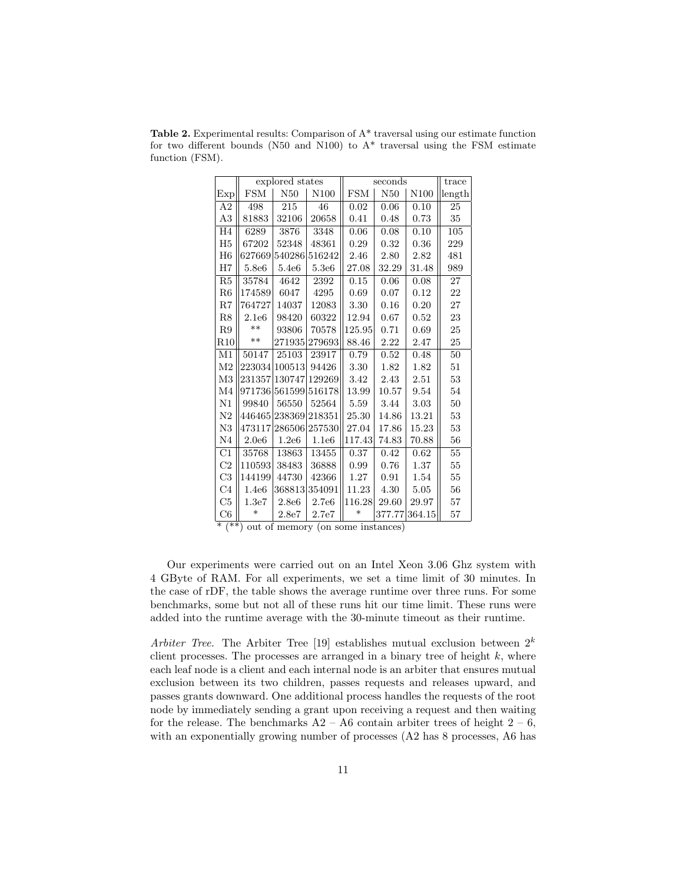Table 2. Experimental results: Comparison of A\* traversal using our estimate function for two different bounds (N50 and N100) to  $A^*$  traversal using the FSM estimate function (FSM).

|                |                   | explored states      |                   | seconds    | trace |               |        |
|----------------|-------------------|----------------------|-------------------|------------|-------|---------------|--------|
| Exp            | <b>FSM</b>        | N <sub>50</sub>      | N <sub>100</sub>  | <b>FSM</b> | N50   | $\rm N100$    | length |
| A <sub>2</sub> | 498               | 215                  | 46                | 0.02       | 0.06  | 0.10          | 25     |
| A3             | 81883             | 32106                | 20658             | 0.41       | 0.48  | 0.73          | 35     |
| H <sub>4</sub> | 6289              | 3876                 | 3348              | 0.06       | 0.08  | 0.10          | 105    |
| H5             | 67202             | 52348                | 48361             | 0.29       | 0.32  | 0.36          | 229    |
| H <sub>6</sub> | 627669            | 540286               | 516242            | 2.46       | 2.80  | 2.82          | 481    |
| H7             | 5.8e <sub>6</sub> | 5.4e <sub>6</sub>    | 5.3e <sub>6</sub> | 27.08      | 32.29 | 31.48         | 989    |
| R5             | 35784             | 4642                 | 2392              | 0.15       | 0.06  | 0.08          | 27     |
| R6             | 174589            | 6047                 | 4295              | 0.69       | 0.07  | 0.12          | 22     |
| R7             | 764727            | 14037                | 12083             | 3.30       | 0.16  | 0.20          | 27     |
| R8             | 2.1e6             | 98420                | 60322             | 12.94      | 0.67  | 0.52          | 23     |
| R9             | $**$              | 93806                | 70578             | 125.95     | 0.71  | 0.69          | 25     |
| R10            | $**$              | 271935               | 279693            | 88.46      | 2.22  | 2.47          | 25     |
| M1             | 50147             | $\overline{25103}$   | 23917             | 0.79       | 0.52  | 0.48          | 50     |
| M <sub>2</sub> |                   | 223034 100513        | 94426             | 3.30       | 1.82  | 1.82          | 51     |
| M <sub>3</sub> | 231357            | 130747               | 129269            | 3.42       | 2.43  | 2.51          | 53     |
| M <sub>4</sub> |                   | 971736 561599 516178 |                   | 13.99      | 10.57 | 9.54          | 54     |
| N1             | 99840             | 56550                | 52564             | 5.59       | 3.44  | 3.03          | 50     |
| N2             |                   | 446465 238369 218351 |                   | 25.30      | 14.86 | 13.21         | 53     |
| N3             |                   | 473117 286506 257530 |                   | 27.04      | 17.86 | 15.23         | 53     |
| N <sub>4</sub> | 2.0e6             | 1.2e6                | 1.1e6             | 117.43     | 74.83 | 70.88         | 56     |
| C1             | 35768             | 13863                | 13455             | 0.37       | 0.42  | 0.62          | $55\,$ |
| C2             | 110593            | 38483                | 36888             | 0.99       | 0.76  | 1.37          | $55\,$ |
| C3             | 144199            | 44730                | 42366             | 1.27       | 0.91  | 1.54          | $55\,$ |
| C <sub>4</sub> | 1.4e <sub>6</sub> | 368813               | 354091            | 11.23      | 4.30  | 5.05          | 56     |
| C <sub>5</sub> | 1.3e7             | 2.8e6                | 2.7e6             | 116.28     | 29.60 | 29.97         | 57     |
| C6             | $\ast$            | 2.8e7                | 2.7e7             | $\ast$     |       | 377.77 364.15 | 57     |

 $*(**)$  out of memory (on some instances)

Our experiments were carried out on an Intel Xeon 3.06 Ghz system with 4 GByte of RAM. For all experiments, we set a time limit of 30 minutes. In the case of rDF, the table shows the average runtime over three runs. For some benchmarks, some but not all of these runs hit our time limit. These runs were added into the runtime average with the 30-minute timeout as their runtime.

Arbiter Tree. The Arbiter Tree [19] establishes mutual exclusion between  $2^k$ client processes. The processes are arranged in a binary tree of height  $k$ , where each leaf node is a client and each internal node is an arbiter that ensures mutual exclusion between its two children, passes requests and releases upward, and passes grants downward. One additional process handles the requests of the root node by immediately sending a grant upon receiving a request and then waiting for the release. The benchmarks  $A2 - A6$  contain arbiter trees of height  $2 - 6$ , with an exponentially growing number of processes  $(A2 \text{ has } 8 \text{ processes}, A6 \text{ has}$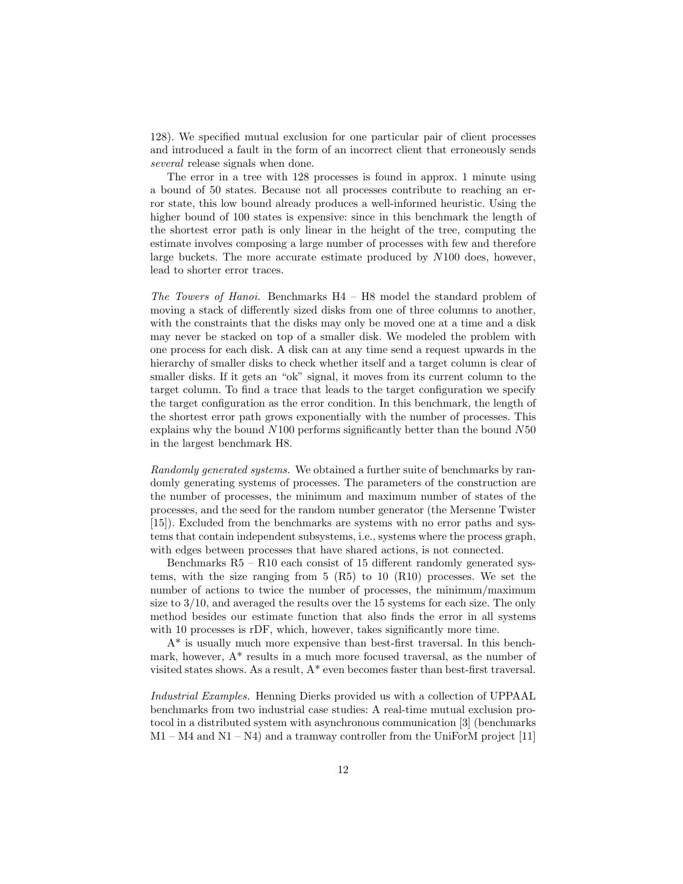128). We specified mutual exclusion for one particular pair of client processes and introduced a fault in the form of an incorrect client that erroneously sends several release signals when done.

The error in a tree with 128 processes is found in approx. 1 minute using a bound of 50 states. Because not all processes contribute to reaching an error state, this low bound already produces a well-informed heuristic. Using the higher bound of 100 states is expensive: since in this benchmark the length of the shortest error path is only linear in the height of the tree, computing the estimate involves composing a large number of processes with few and therefore large buckets. The more accurate estimate produced by N100 does, however, lead to shorter error traces.

The Towers of Hanoi. Benchmarks H4 – H8 model the standard problem of moving a stack of differently sized disks from one of three columns to another, with the constraints that the disks may only be moved one at a time and a disk may never be stacked on top of a smaller disk. We modeled the problem with one process for each disk. A disk can at any time send a request upwards in the hierarchy of smaller disks to check whether itself and a target column is clear of smaller disks. If it gets an "ok" signal, it moves from its current column to the target column. To find a trace that leads to the target configuration we specify the target configuration as the error condition. In this benchmark, the length of the shortest error path grows exponentially with the number of processes. This explains why the bound  $N100$  performs significantly better than the bound  $N50$ in the largest benchmark H8.

Randomly generated systems. We obtained a further suite of benchmarks by randomly generating systems of processes. The parameters of the construction are the number of processes, the minimum and maximum number of states of the processes, and the seed for the random number generator (the Mersenne Twister [15]). Excluded from the benchmarks are systems with no error paths and systems that contain independent subsystems, i.e., systems where the process graph, with edges between processes that have shared actions, is not connected.

Benchmarks R5 – R10 each consist of 15 different randomly generated systems, with the size ranging from 5 (R5) to 10 (R10) processes. We set the number of actions to twice the number of processes, the minimum/maximum size to 3/10, and averaged the results over the 15 systems for each size. The only method besides our estimate function that also finds the error in all systems with 10 processes is rDF, which, however, takes significantly more time.

A\* is usually much more expensive than best-first traversal. In this benchmark, however,  $A^*$  results in a much more focused traversal, as the number of visited states shows. As a result, A\* even becomes faster than best-first traversal.

Industrial Examples. Henning Dierks provided us with a collection of UPPAAL benchmarks from two industrial case studies: A real-time mutual exclusion protocol in a distributed system with asynchronous communication [3] (benchmarks  $M1 - M4$  and  $N1 - N4$ ) and a tramway controller from the UniForM project [11]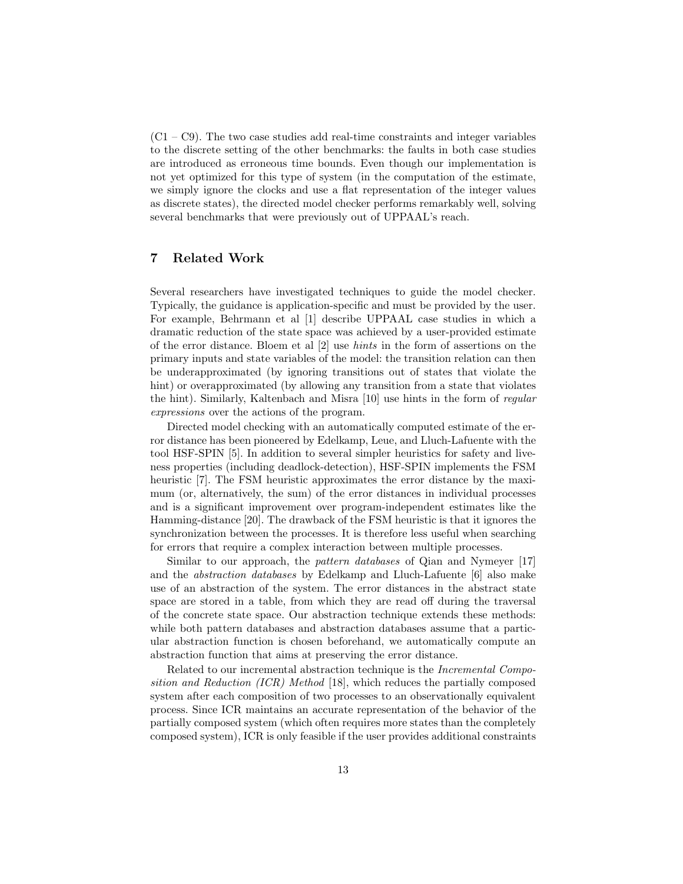$(C1 - C9)$ . The two case studies add real-time constraints and integer variables to the discrete setting of the other benchmarks: the faults in both case studies are introduced as erroneous time bounds. Even though our implementation is not yet optimized for this type of system (in the computation of the estimate, we simply ignore the clocks and use a flat representation of the integer values as discrete states), the directed model checker performs remarkably well, solving several benchmarks that were previously out of UPPAAL's reach.

# 7 Related Work

Several researchers have investigated techniques to guide the model checker. Typically, the guidance is application-specific and must be provided by the user. For example, Behrmann et al [1] describe UPPAAL case studies in which a dramatic reduction of the state space was achieved by a user-provided estimate of the error distance. Bloem et al [2] use hints in the form of assertions on the primary inputs and state variables of the model: the transition relation can then be underapproximated (by ignoring transitions out of states that violate the hint) or overapproximated (by allowing any transition from a state that violates the hint). Similarly, Kaltenbach and Misra [10] use hints in the form of regular expressions over the actions of the program.

Directed model checking with an automatically computed estimate of the error distance has been pioneered by Edelkamp, Leue, and Lluch-Lafuente with the tool HSF-SPIN [5]. In addition to several simpler heuristics for safety and liveness properties (including deadlock-detection), HSF-SPIN implements the FSM heuristic [7]. The FSM heuristic approximates the error distance by the maximum (or, alternatively, the sum) of the error distances in individual processes and is a significant improvement over program-independent estimates like the Hamming-distance [20]. The drawback of the FSM heuristic is that it ignores the synchronization between the processes. It is therefore less useful when searching for errors that require a complex interaction between multiple processes.

Similar to our approach, the pattern databases of Qian and Nymeyer [17] and the abstraction databases by Edelkamp and Lluch-Lafuente [6] also make use of an abstraction of the system. The error distances in the abstract state space are stored in a table, from which they are read off during the traversal of the concrete state space. Our abstraction technique extends these methods: while both pattern databases and abstraction databases assume that a particular abstraction function is chosen beforehand, we automatically compute an abstraction function that aims at preserving the error distance.

Related to our incremental abstraction technique is the Incremental Composition and Reduction  $(ICR)$  Method [18], which reduces the partially composed system after each composition of two processes to an observationally equivalent process. Since ICR maintains an accurate representation of the behavior of the partially composed system (which often requires more states than the completely composed system), ICR is only feasible if the user provides additional constraints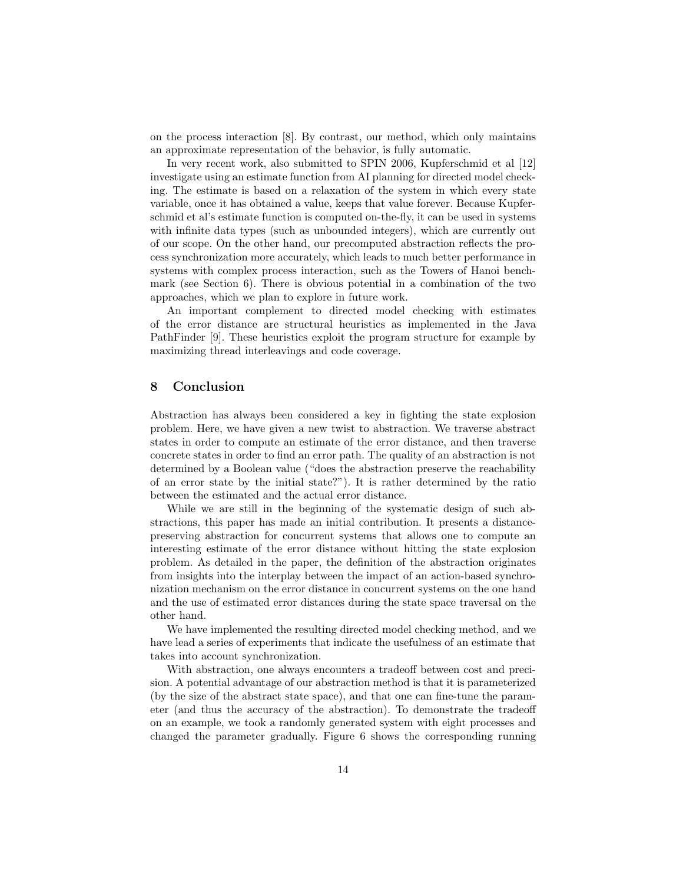on the process interaction [8]. By contrast, our method, which only maintains an approximate representation of the behavior, is fully automatic.

In very recent work, also submitted to SPIN 2006, Kupferschmid et al [12] investigate using an estimate function from AI planning for directed model checking. The estimate is based on a relaxation of the system in which every state variable, once it has obtained a value, keeps that value forever. Because Kupferschmid et al's estimate function is computed on-the-fly, it can be used in systems with infinite data types (such as unbounded integers), which are currently out of our scope. On the other hand, our precomputed abstraction reflects the process synchronization more accurately, which leads to much better performance in systems with complex process interaction, such as the Towers of Hanoi benchmark (see Section 6). There is obvious potential in a combination of the two approaches, which we plan to explore in future work.

An important complement to directed model checking with estimates of the error distance are structural heuristics as implemented in the Java PathFinder [9]. These heuristics exploit the program structure for example by maximizing thread interleavings and code coverage.

#### 8 Conclusion

Abstraction has always been considered a key in fighting the state explosion problem. Here, we have given a new twist to abstraction. We traverse abstract states in order to compute an estimate of the error distance, and then traverse concrete states in order to find an error path. The quality of an abstraction is not determined by a Boolean value ("does the abstraction preserve the reachability of an error state by the initial state?"). It is rather determined by the ratio between the estimated and the actual error distance.

While we are still in the beginning of the systematic design of such abstractions, this paper has made an initial contribution. It presents a distancepreserving abstraction for concurrent systems that allows one to compute an interesting estimate of the error distance without hitting the state explosion problem. As detailed in the paper, the definition of the abstraction originates from insights into the interplay between the impact of an action-based synchronization mechanism on the error distance in concurrent systems on the one hand and the use of estimated error distances during the state space traversal on the other hand.

We have implemented the resulting directed model checking method, and we have lead a series of experiments that indicate the usefulness of an estimate that takes into account synchronization.

With abstraction, one always encounters a tradeoff between cost and precision. A potential advantage of our abstraction method is that it is parameterized (by the size of the abstract state space), and that one can fine-tune the parameter (and thus the accuracy of the abstraction). To demonstrate the tradeoff on an example, we took a randomly generated system with eight processes and changed the parameter gradually. Figure 6 shows the corresponding running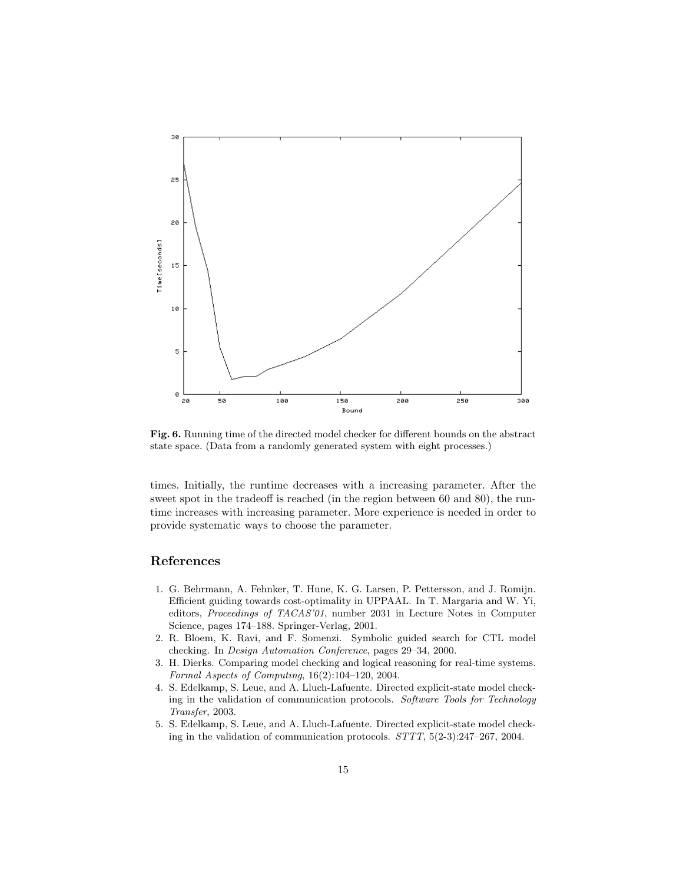

Fig. 6. Running time of the directed model checker for different bounds on the abstract state space. (Data from a randomly generated system with eight processes.)

times. Initially, the runtime decreases with a increasing parameter. After the sweet spot in the tradeoff is reached (in the region between 60 and 80), the runtime increases with increasing parameter. More experience is needed in order to provide systematic ways to choose the parameter.

#### References

- 1. G. Behrmann, A. Fehnker, T. Hune, K. G. Larsen, P. Pettersson, and J. Romijn. Efficient guiding towards cost-optimality in UPPAAL. In T. Margaria and W. Yi, editors, Proceedings of TACAS'01, number 2031 in Lecture Notes in Computer Science, pages 174–188. Springer-Verlag, 2001.
- 2. R. Bloem, K. Ravi, and F. Somenzi. Symbolic guided search for CTL model checking. In Design Automation Conference, pages 29–34, 2000.
- 3. H. Dierks. Comparing model checking and logical reasoning for real-time systems. Formal Aspects of Computing, 16(2):104–120, 2004.
- 4. S. Edelkamp, S. Leue, and A. Lluch-Lafuente. Directed explicit-state model checking in the validation of communication protocols. Software Tools for Technology Transfer, 2003.
- 5. S. Edelkamp, S. Leue, and A. Lluch-Lafuente. Directed explicit-state model checking in the validation of communication protocols. STTT, 5(2-3):247–267, 2004.